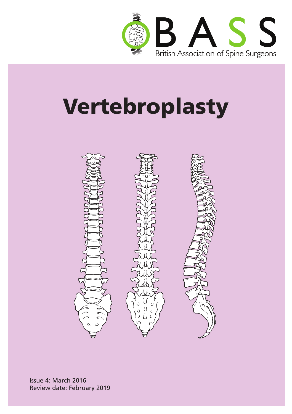

# Vertebroplasty



Issue 4: March 2016 Review date: February 2019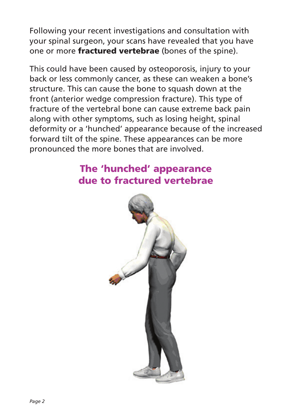Following your recent investigations and consultation with your spinal surgeon, your scans have revealed that you have one or more **fractured vertebrae** (bones of the spine).

This could have been caused by osteoporosis, injury to your back or less commonly cancer, as these can weaken a bone's structure. This can cause the bone to squash down at the front (anterior wedge compression fracture). This type of fracture of the vertebral bone can cause extreme back pain along with other symptoms, such as losing height, spinal deformity or a 'hunched' appearance because of the increased forward tilt of the spine. These appearances can be more pronounced the more bones that are involved.

# The 'hunched' appearance due to fractured vertebrae

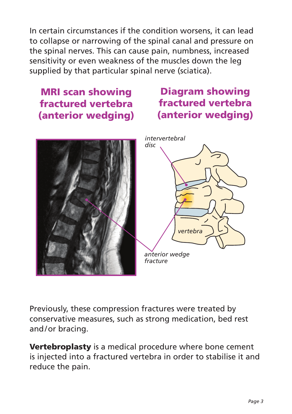In certain circumstances if the condition worsens, it can lead to collapse or narrowing of the spinal canal and pressure on the spinal nerves. This can cause pain, numbness, increased sensitivity or even weakness of the muscles down the leg supplied by that particular spinal nerve (sciatica).

## MRI scan showing fractured vertebra (anterior wedging)

# Diagram showing fractured vertebra (anterior wedging)





Previously, these compression fractures were treated by conservative measures, such as strong medication, bed rest and/or bracing.

Vertebroplasty is a medical procedure where bone cement is injected into a fractured vertebra in order to stabilise it and reduce the pain.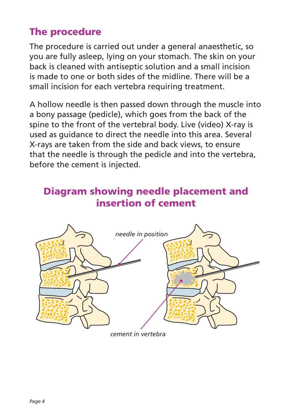# The procedure

The procedure is carried out under a general anaesthetic, so you are fully asleep, lying on your stomach. The skin on your back is cleaned with antiseptic solution and a small incision is made to one or both sides of the midline. There will be a small incision for each vertebra requiring treatment.

A hollow needle is then passed down through the muscle into a bony passage (pedicle), which goes from the back of the spine to the front of the vertebral body. Live (video) X-ray is used as guidance to direct the needle into this area. Several X-rays are taken from the side and back views, to ensure that the needle is through the pedicle and into the vertebra, before the cement is injected.

## Diagram showing needle placement and insertion of cement



*cement in vertebra*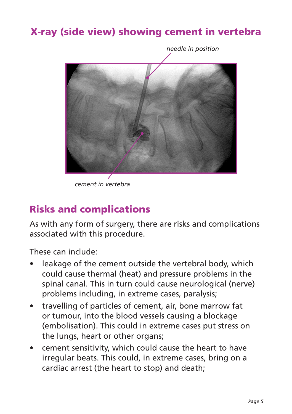# X-ray (side view) showing cement in vertebra



*cement in vertebra*

## Risks and complications

As with any form of surgery, there are risks and complications associated with this procedure.

These can include:

- leakage of the cement outside the vertebral body, which could cause thermal (heat) and pressure problems in the spinal canal. This in turn could cause neurological (nerve) problems including, in extreme cases, paralysis;
- travelling of particles of cement, air, bone marrow fat or tumour, into the blood vessels causing a blockage (embolisation). This could in extreme cases put stress on the lungs, heart or other organs;
- cement sensitivity, which could cause the heart to have irregular beats. This could, in extreme cases, bring on a cardiac arrest (the heart to stop) and death;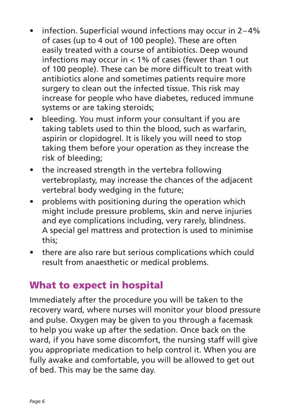- infection. Superficial wound infections may occur in  $2-4%$ of cases (up to 4 out of 100 people). These are often easily treated with a course of antibiotics. Deep wound infections may occur in < 1% of cases (fewer than 1 out of 100 people). These can be more difficult to treat with antibiotics alone and sometimes patients require more surgery to clean out the infected tissue. This risk may increase for people who have diabetes, reduced immune systems or are taking steroids;
- bleeding. You must inform your consultant if you are taking tablets used to thin the blood, such as warfarin, aspirin or clopidogrel. It is likely you will need to stop taking them before your operation as they increase the risk of bleeding;
- the increased strength in the vertebra following vertebroplasty, may increase the chances of the adjacent vertebral body wedging in the future;
- problems with positioning during the operation which might include pressure problems, skin and nerve injuries and eye complications including, very rarely, blindness. A special gel mattress and protection is used to minimise this;
- there are also rare but serious complications which could result from anaesthetic or medical problems.

# What to expect in hospital

Immediately after the procedure you will be taken to the recovery ward, where nurses will monitor your blood pressure and pulse. Oxygen may be given to you through a facemask to help you wake up after the sedation. Once back on the ward, if you have some discomfort, the nursing staff will give you appropriate medication to help control it. When you are fully awake and comfortable, you will be allowed to get out of bed. This may be the same day.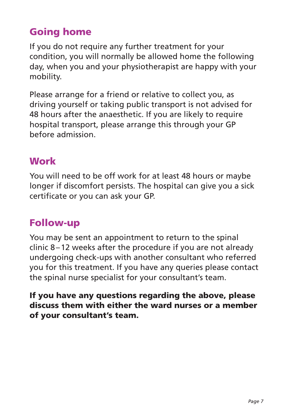# Going home

If you do not require any further treatment for your condition, you will normally be allowed home the following day, when you and your physiotherapist are happy with your mobility.

Please arrange for a friend or relative to collect you, as driving yourself or taking public transport is not advised for 48 hours after the anaesthetic. If you are likely to require hospital transport, please arrange this through your GP before admission.

#### Work

You will need to be off work for at least 48 hours or maybe longer if discomfort persists. The hospital can give you a sick certificate or you can ask your GP.

#### Follow-up

You may be sent an appointment to return to the spinal clinic 8–12 weeks after the procedure if you are not already undergoing check-ups with another consultant who referred you for this treatment. If you have any queries please contact the spinal nurse specialist for your consultant's team.

If you have any questions regarding the above, please discuss them with either the ward nurses or a member of your consultant's team.